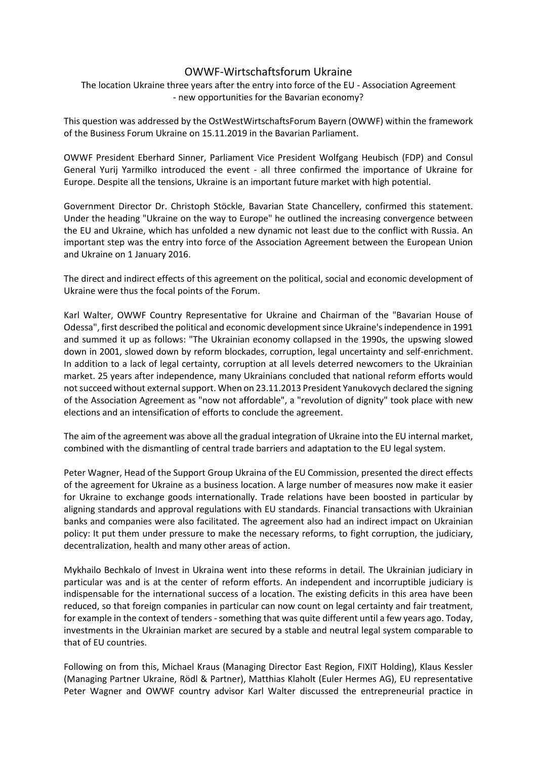## OWWF-Wirtschaftsforum Ukraine

The location Ukraine three years after the entry into force of the EU - Association Agreement - new opportunities for the Bavarian economy?

This question was addressed by the OstWestWirtschaftsForum Bayern (OWWF) within the framework of the Business Forum Ukraine on 15.11.2019 in the Bavarian Parliament.

OWWF President Eberhard Sinner, Parliament Vice President Wolfgang Heubisch (FDP) and Consul General Yurij Yarmilko introduced the event - all three confirmed the importance of Ukraine for Europe. Despite all the tensions, Ukraine is an important future market with high potential.

Government Director Dr. Christoph Stöckle, Bavarian State Chancellery, confirmed this statement. Under the heading "Ukraine on the way to Europe" he outlined the increasing convergence between the EU and Ukraine, which has unfolded a new dynamic not least due to the conflict with Russia. An important step was the entry into force of the Association Agreement between the European Union and Ukraine on 1 January 2016.

The direct and indirect effects of this agreement on the political, social and economic development of Ukraine were thus the focal points of the Forum.

Karl Walter, OWWF Country Representative for Ukraine and Chairman of the "Bavarian House of Odessa", first described the political and economic development since Ukraine's independence in 1991 and summed it up as follows: "The Ukrainian economy collapsed in the 1990s, the upswing slowed down in 2001, slowed down by reform blockades, corruption, legal uncertainty and self-enrichment. In addition to a lack of legal certainty, corruption at all levels deterred newcomers to the Ukrainian market. 25 years after independence, many Ukrainians concluded that national reform efforts would not succeed without external support. When on 23.11.2013 President Yanukovych declared the signing of the Association Agreement as "now not affordable", a "revolution of dignity" took place with new elections and an intensification of efforts to conclude the agreement.

The aim of the agreement was above all the gradual integration of Ukraine into the EU internal market, combined with the dismantling of central trade barriers and adaptation to the EU legal system.

Peter Wagner, Head of the Support Group Ukraina of the EU Commission, presented the direct effects of the agreement for Ukraine as a business location. A large number of measures now make it easier for Ukraine to exchange goods internationally. Trade relations have been boosted in particular by aligning standards and approval regulations with EU standards. Financial transactions with Ukrainian banks and companies were also facilitated. The agreement also had an indirect impact on Ukrainian policy: It put them under pressure to make the necessary reforms, to fight corruption, the judiciary, decentralization, health and many other areas of action.

Mykhailo Bechkalo of Invest in Ukraina went into these reforms in detail. The Ukrainian judiciary in particular was and is at the center of reform efforts. An independent and incorruptible judiciary is indispensable for the international success of a location. The existing deficits in this area have been reduced, so that foreign companies in particular can now count on legal certainty and fair treatment, for example in the context of tenders - something that was quite different until a few years ago. Today, investments in the Ukrainian market are secured by a stable and neutral legal system comparable to that of EU countries.

Following on from this, Michael Kraus (Managing Director East Region, FIXIT Holding), Klaus Kessler (Managing Partner Ukraine, Rödl & Partner), Matthias Klaholt (Euler Hermes AG), EU representative Peter Wagner and OWWF country advisor Karl Walter discussed the entrepreneurial practice in